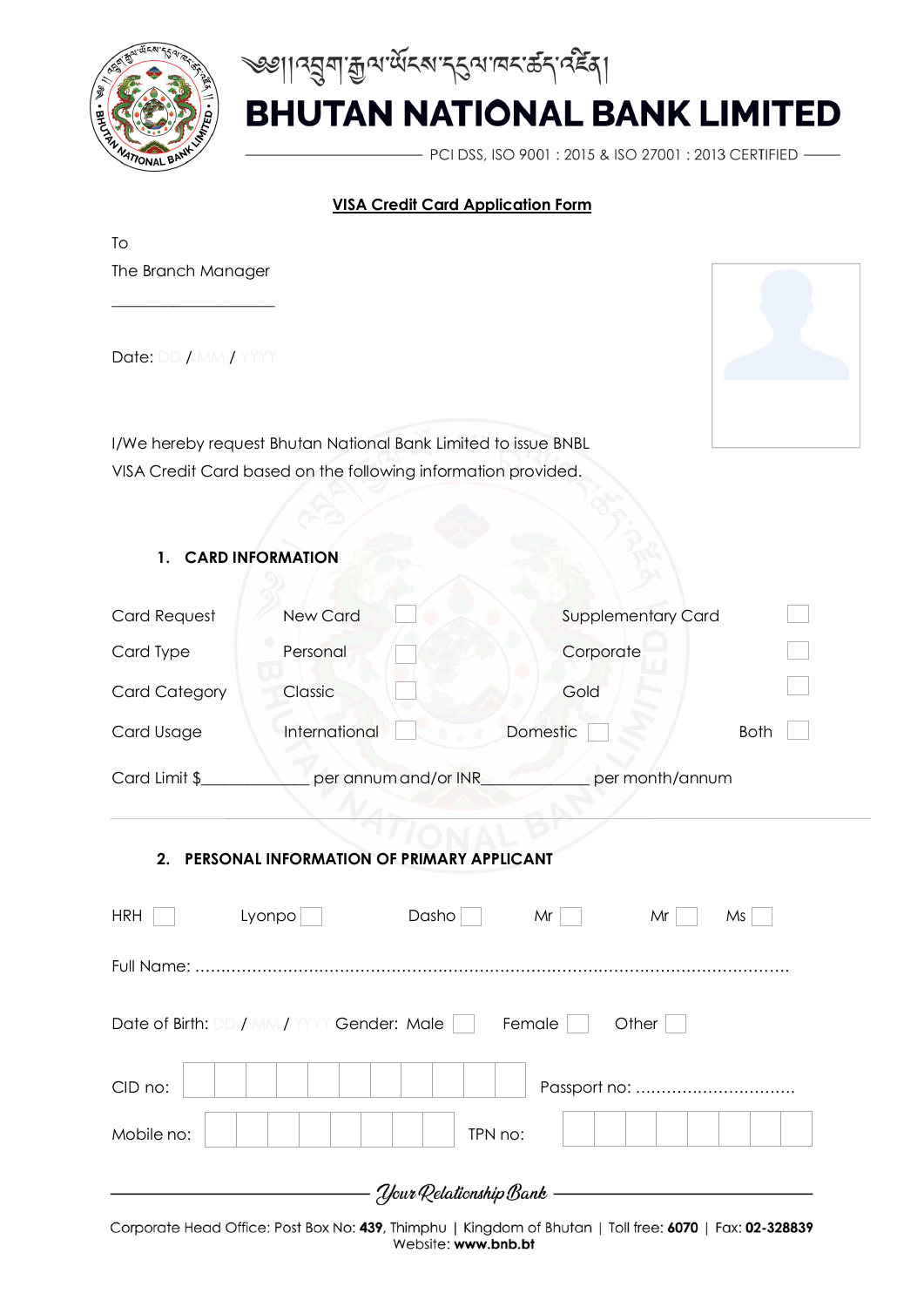

খ্ঞান ব্ৰশক্তিত ক্ৰমেন কৰা দিবলৈ কৰা কৰি

PCI DSS, ISO 9001: 2015 & ISO 27001: 2013 CERTIFIED -

#### **VISA Credit Card Application Form**

| To                   |                                                                |                           |             |
|----------------------|----------------------------------------------------------------|---------------------------|-------------|
| The Branch Manager   |                                                                |                           |             |
| Date: DD / MM / YYYY |                                                                |                           |             |
|                      | I/We hereby request Bhutan National Bank Limited to issue BNBL |                           |             |
|                      | VISA Credit Card based on the following information provided.  |                           |             |
|                      |                                                                |                           |             |
| 1.                   | <b>CARD INFORMATION</b>                                        |                           |             |
| <b>Card Request</b>  | <b>New Card</b>                                                | <b>Supplementary Card</b> |             |
| Card Type            | Personal                                                       | Corporate                 |             |
| <b>Card Category</b> | Classic                                                        | Gold                      |             |
| Card Usage           | International                                                  | Domestic                  | <b>Both</b> |
| Card Limit \$        | per annum and/or INR_                                          | per month/annum           |             |
| 2.                   | PERSONAL INFORMATION OF PRIMARY APPLICANT                      |                           |             |
| <b>HRH</b>           | Lyonpo<br>Dasho                                                | Mr<br>Mr                  | Ms          |
|                      |                                                                |                           |             |
|                      | Date of Birth: DD / MM / YYYY Gender: Male                     | Female<br>Other           |             |

Corporate Head Office: Post Box No: 439, Thimphu | Kingdom of Bhutan | Toll free: 6070 | Fax: 02-328839 Website: www.bnb.bt

- *Your* Relationship Bank -

CID no: Passport no: ………………………….

Mobile no: TPN no: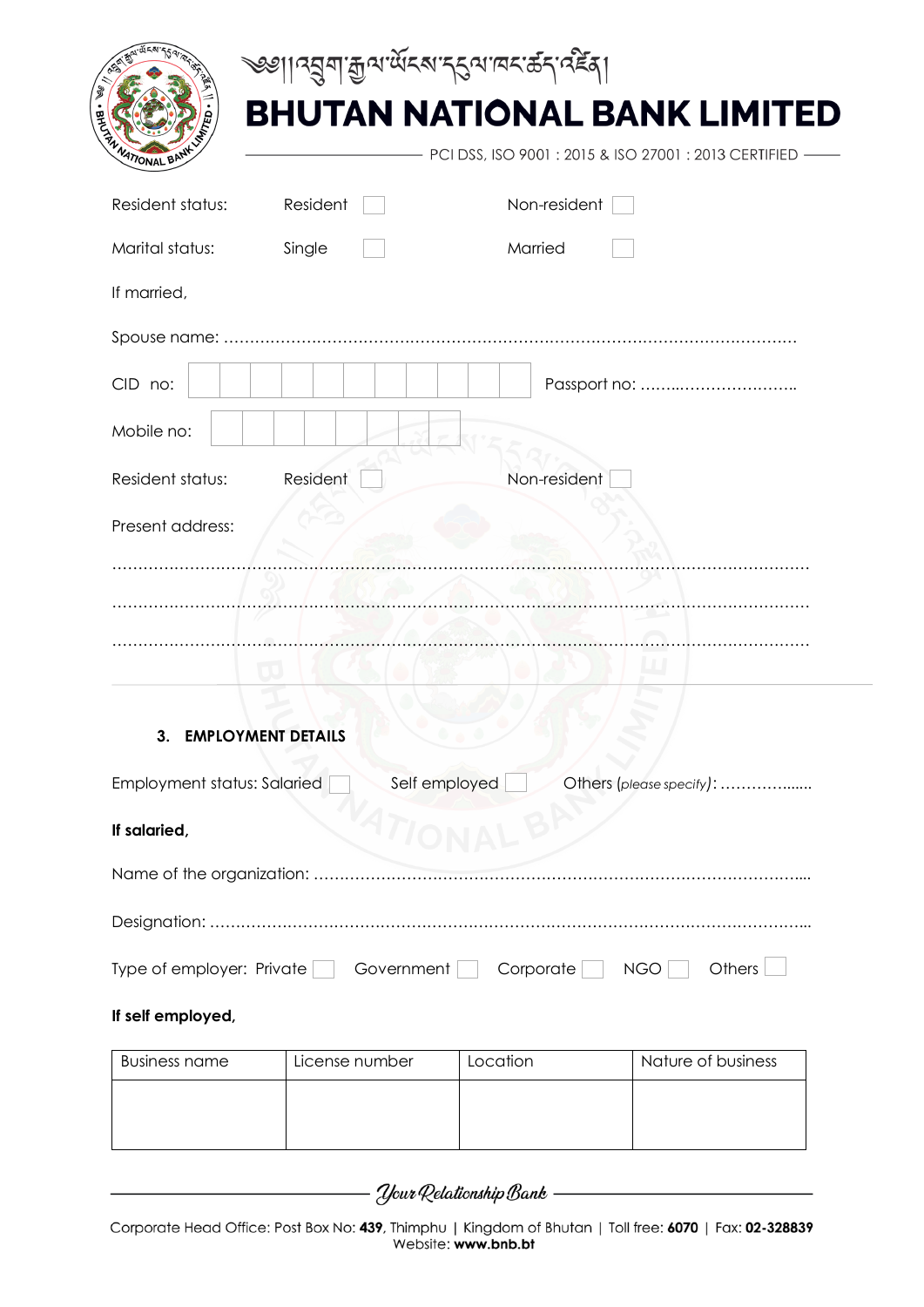|                                    | <sup>৩৩</sup> ঃ বিভিন্ন এক্সেপ্ৰে বিভিন্ন প্ৰতিষ্ঠা কৰি প্ৰতিষ্ঠা |                                                     |
|------------------------------------|-------------------------------------------------------------------|-----------------------------------------------------|
|                                    |                                                                   | <b>BHUTAN NATIONAL BANK LIMITED</b>                 |
| <b>MATIONAL BI</b>                 |                                                                   | PCI DSS, ISO 9001: 2015 & ISO 27001: 2013 CERTIFIED |
| Resident status:                   | Resident                                                          | Non-resident                                        |
| Marital status:                    | Single                                                            | Married                                             |
| If married,                        |                                                                   |                                                     |
|                                    |                                                                   |                                                     |
| CID no:                            |                                                                   |                                                     |
| Mobile no:                         |                                                                   |                                                     |
| Resident status:                   | Resident                                                          | Non-resident                                        |
| Present address:                   |                                                                   |                                                     |
|                                    |                                                                   |                                                     |
|                                    |                                                                   |                                                     |
|                                    |                                                                   |                                                     |
|                                    |                                                                   |                                                     |
| ა.                                 | <b>EMPLOTMENT DETAILS</b>                                         |                                                     |
| <b>Employment status: Salaried</b> | Self employed                                                     | Others (please specify):                            |
| If salaried,                       |                                                                   |                                                     |
|                                    |                                                                   |                                                     |
|                                    |                                                                   |                                                     |
| Type of employer: Private          | Government                                                        | Corporate<br>Others<br><b>NGO</b>                   |
| If self employed,                  |                                                                   |                                                     |

| Business name | License number | Location | Nature of business |
|---------------|----------------|----------|--------------------|
|               |                |          |                    |
|               |                |          |                    |
|               |                |          |                    |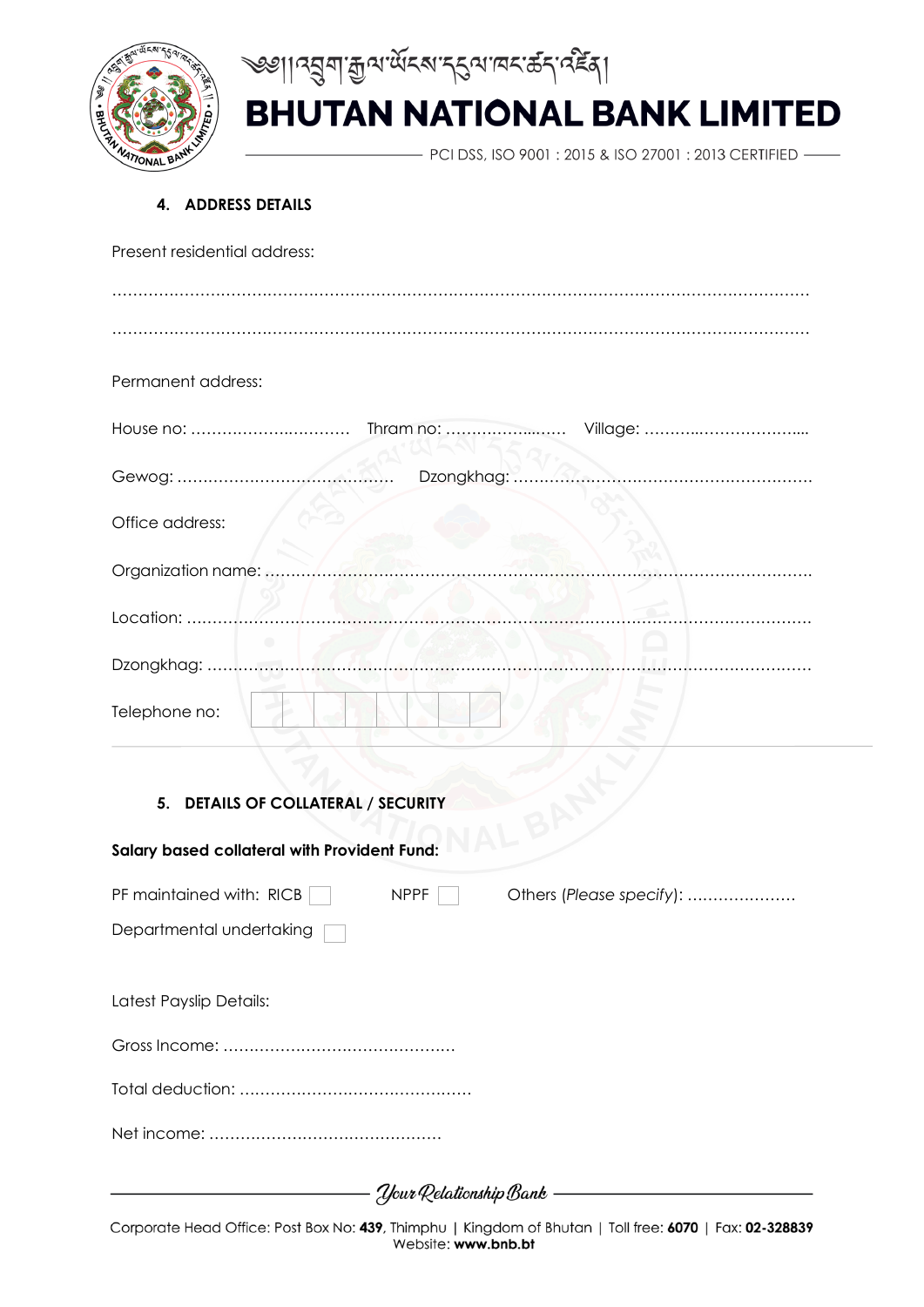



- PCI DSS, ISO 9001 : 2015 & ISO 27001 : 2013 CERTIFIED -

#### **4. ADDRESS DETAILS**

| Present residential address:                 |                          |                          |  |
|----------------------------------------------|--------------------------|--------------------------|--|
|                                              |                          |                          |  |
|                                              |                          |                          |  |
| Permanent address:                           |                          |                          |  |
|                                              |                          |                          |  |
| Gewog:                                       | Dzongkhag:<br>.          |                          |  |
| Office address:                              |                          |                          |  |
| Organization name:                           |                          |                          |  |
| Location:                                    |                          |                          |  |
| Dzongkhag:                                   |                          |                          |  |
| Telephone no:                                |                          |                          |  |
|                                              |                          |                          |  |
| 5. DETAILS OF COLLATERAL / SECURITY          |                          |                          |  |
| Salary based collateral with Provident Fund: |                          |                          |  |
| PF maintained with: RICB                     | <b>NPPF</b>              | Others (Please specify): |  |
| Departmental undertaking                     |                          |                          |  |
| Latest Payslip Details:                      |                          |                          |  |
|                                              |                          |                          |  |
|                                              |                          |                          |  |
|                                              |                          |                          |  |
|                                              | Your Relationship Bank - |                          |  |

Corporate Head Office: Post Box No: 439, Thimphu | Kingdom of Bhutan | Toll free: 6070 | Fax: 02-328839 Website: www.bnb.bt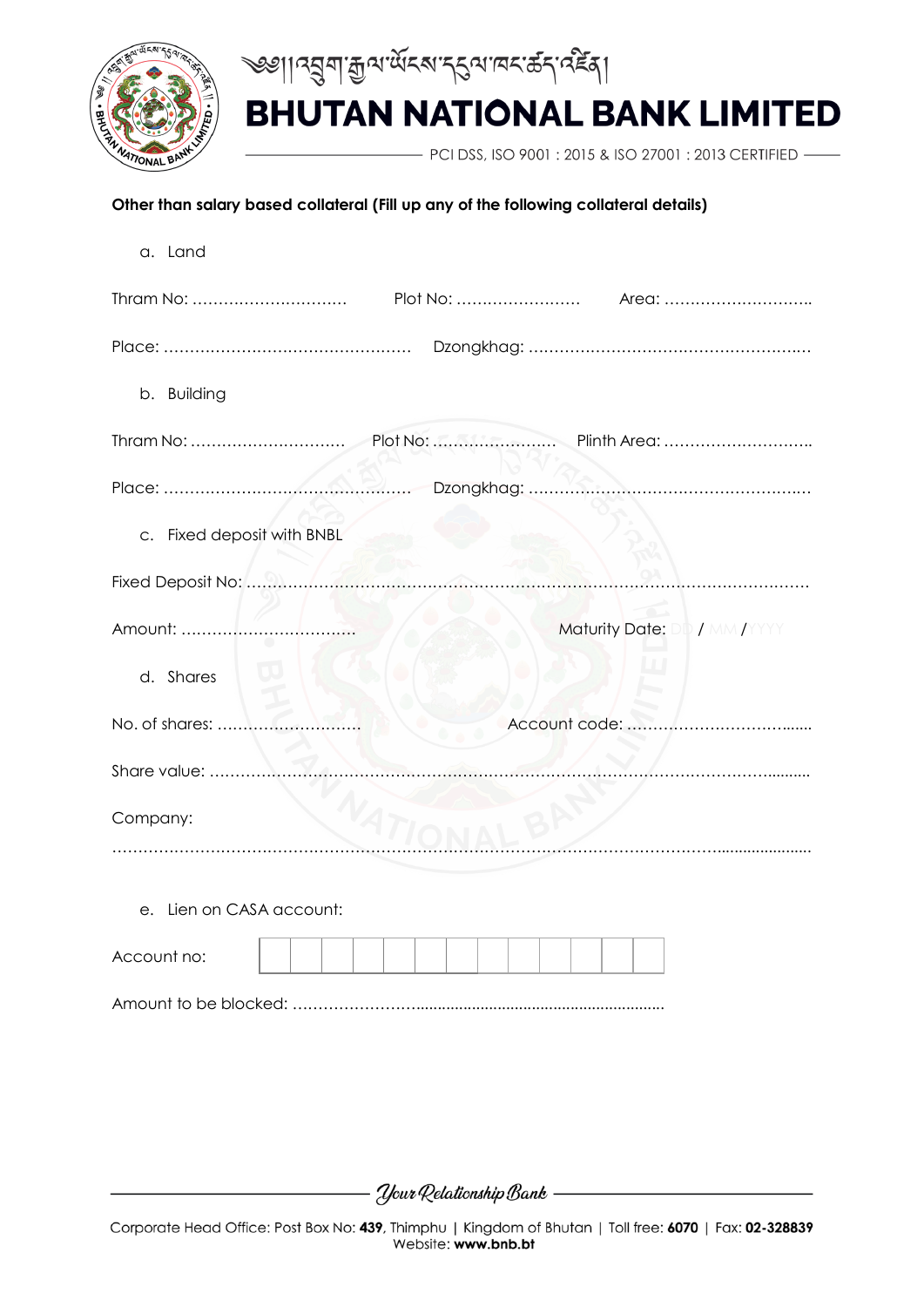



- PCI DSS, ISO 9001 : 2015 & ISO 27001 : 2013 CERTIFIED -

#### **Other than salary based collateral (Fill up any of the following collateral details)**

| a. Land                       |
|-------------------------------|
|                               |
|                               |
| b. Building                   |
|                               |
|                               |
| c. Fixed deposit with BNBL    |
|                               |
| Maturity Date: DD / MM / YYYY |
| d. Shares                     |
| No. of shares:                |
| Share value:                  |
| Company:                      |
|                               |
| e. Lien on CASA account:      |
| Account no:                   |
|                               |

- Your Relationship Bank ——————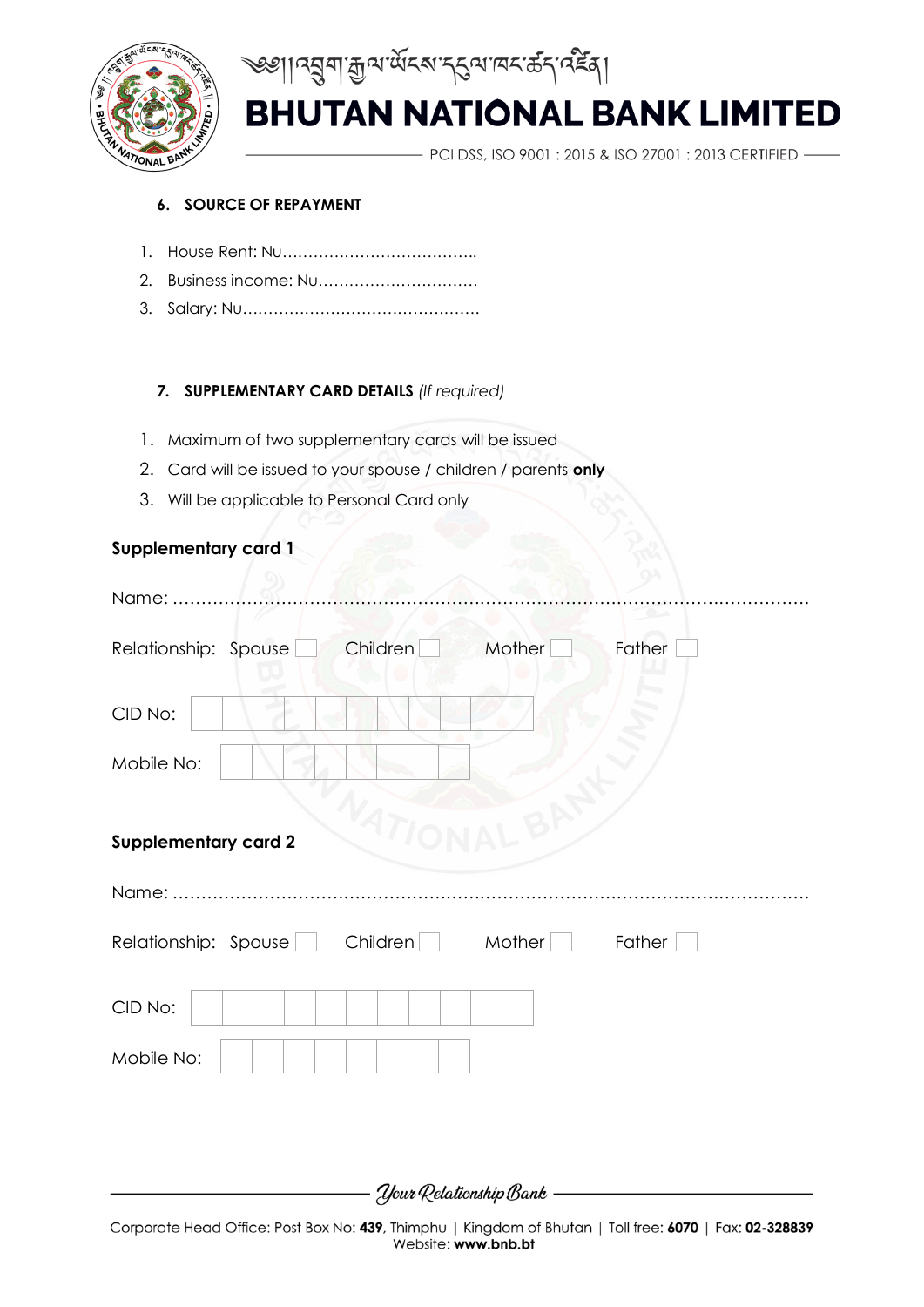



PCI DSS, ISO 9001: 2015 & ISO 27001: 2013 CERTIFIED -

#### **6. SOURCE OF REPAYMENT**

- 1. House Rent: Nu………………………………..
- 2. Business income: Nu………………………….
- 3. Salary: Nu……………………………………….

#### *7.* **SUPPLEMENTARY CARD DETAILS** *(If required)*

- 1. Maximum of two supplementary cards will be issued
- 2. Card will be issued to your spouse / children / parents **only**
- 3. Will be applicable to Personal Card only

#### **Supplementary card 1**

| Name:                                                  |
|--------------------------------------------------------|
| Children<br>Mother<br>Father<br>Relationship: Spouse   |
| CID No:                                                |
| Mobile No:                                             |
| VATIONA<br>LBA<br><b>Supplementary card 2</b>          |
|                                                        |
| Children<br>Relationship: Spouse<br>Mother  <br>Father |
| CID No:                                                |
| Mobile No:                                             |
|                                                        |
|                                                        |
| Your Relationship Bank                                 |

Corporate Head Office: Post Box No: 439, Thimphu | Kingdom of Bhutan | Toll free: 6070 | Fax: 02-328839 Website: www.bnb.bt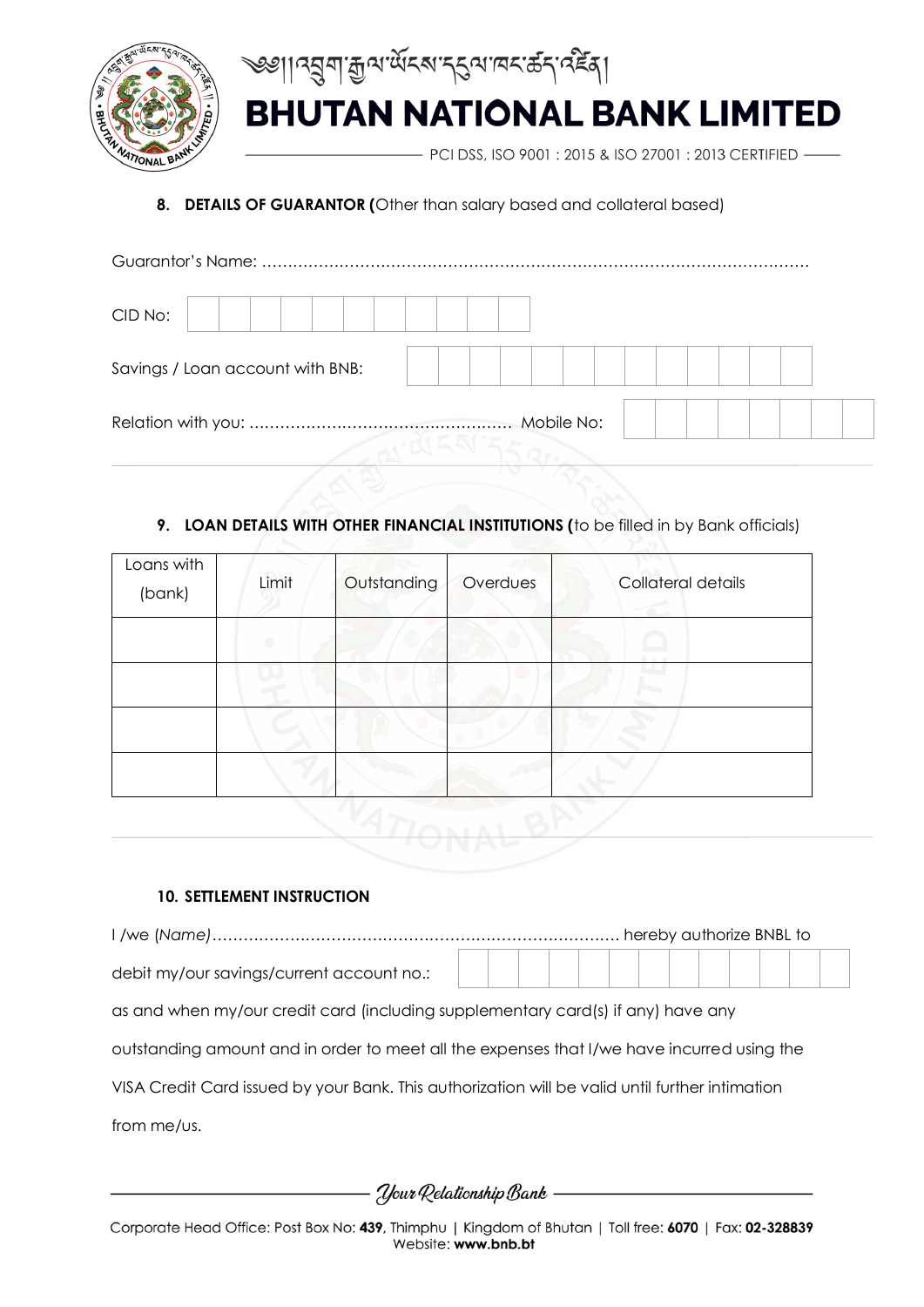



PCI DSS, ISO 9001 : 2015 & ISO 27001 : 2013 CERTIFIED -

### **8. DETAILS OF GUARANTOR (**Other than salary based and collateral based)

| CID No:                          |            |  |  |  |  |
|----------------------------------|------------|--|--|--|--|
| Savings / Loan account with BNB: |            |  |  |  |  |
|                                  | Mobile No: |  |  |  |  |

### **9. LOAN DETAILS WITH OTHER FINANCIAL INSTITUTIONS (**to be filled in by Bank officials)

| Loans with<br>(bank) | Limit | Outstanding | Overdues | Collateral details |
|----------------------|-------|-------------|----------|--------------------|
|                      |       |             |          |                    |
|                      |       |             |          |                    |
|                      |       |             |          |                    |
|                      |       |             |          |                    |

#### **10. SETTLEMENT INSTRUCTION**

| debit my/our savings/current account no.: |  |  |  |  |  |  |  |  |
|-------------------------------------------|--|--|--|--|--|--|--|--|
|                                           |  |  |  |  |  |  |  |  |

as and when my/our credit card (including supplementary card(s) if any) have any

outstanding amount and in order to meet all the expenses that I/we have incurred using the

VISA Credit Card issued by your Bank. This authorization will be valid until further intimation

from me/us.

- Your Relationship Bank ——————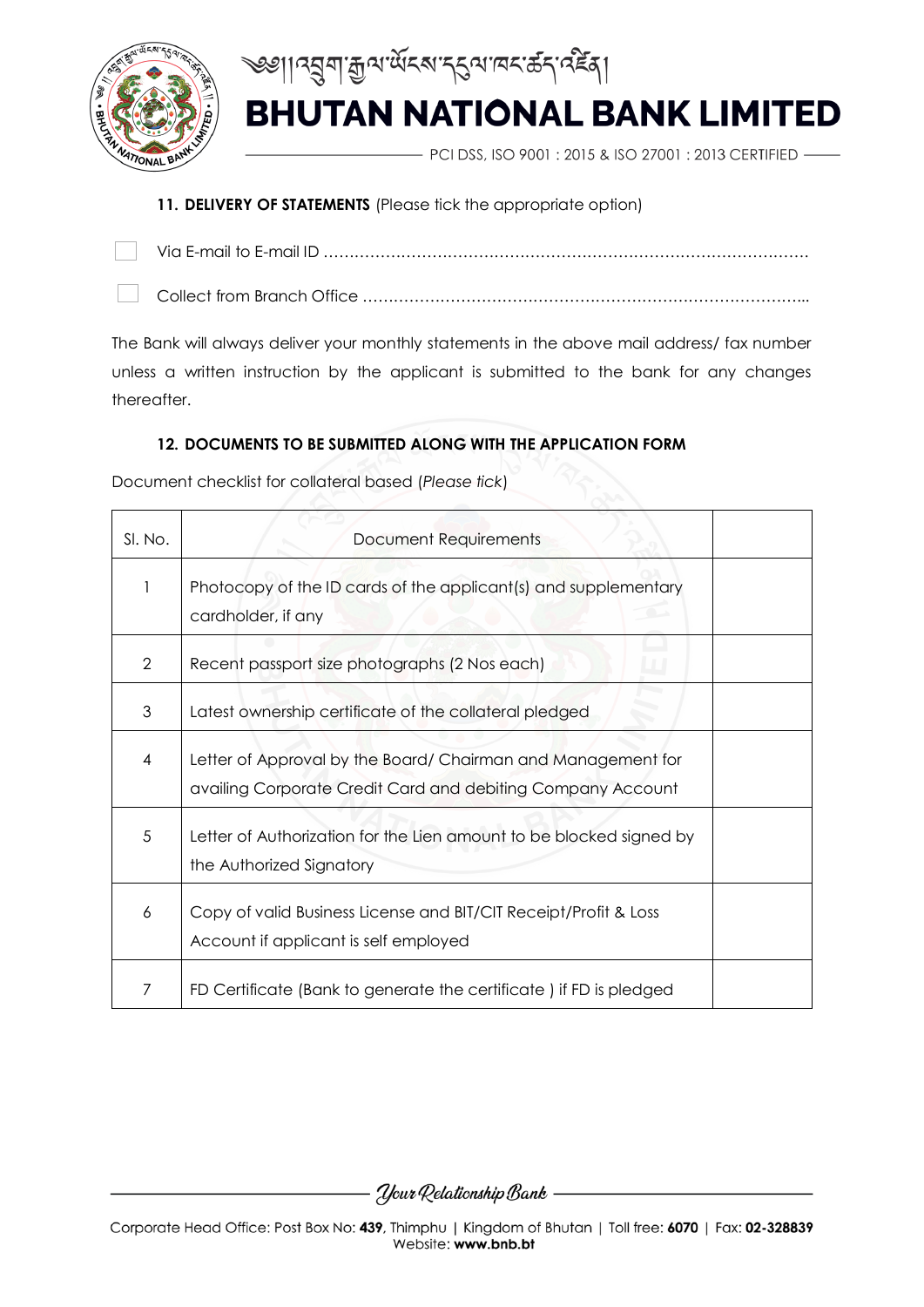



PCI DSS, ISO 9001 : 2015 & ISO 27001 : 2013 CERTIFIED -

### **11. DELIVERY OF STATEMENTS** (Please tick the appropriate option)

Via E-mail to E-mail ID …………………………………………………………………………………. Collect from Branch Office …………………………………………………………………………...

The Bank will always deliver your monthly statements in the above mail address/ fax number unless a written instruction by the applicant is submitted to the bank for any changes thereafter.

#### **12. DOCUMENTS TO BE SUBMITTED ALONG WITH THE APPLICATION FORM**

Document checklist for collateral based (*Please tick*)

| SI. No.       | Document Requirements                                                                                                       |  |
|---------------|-----------------------------------------------------------------------------------------------------------------------------|--|
|               | Photocopy of the ID cards of the applicant(s) and supplementary<br>cardholder, if any                                       |  |
| $\mathcal{P}$ | Recent passport size photographs (2 Nos each)                                                                               |  |
| 3             | Latest ownership certificate of the collateral pledged                                                                      |  |
| 4             | Letter of Approval by the Board/ Chairman and Management for<br>availing Corporate Credit Card and debiting Company Account |  |
| 5             | Letter of Authorization for the Lien amount to be blocked signed by<br>the Authorized Signatory                             |  |
| 6             | Copy of valid Business License and BIT/CIT Receipt/Profit & Loss<br>Account if applicant is self employed                   |  |
| 7             | FD Certificate (Bank to generate the certificate) if FD is pledged                                                          |  |

- *Your* Relationship Bank —————